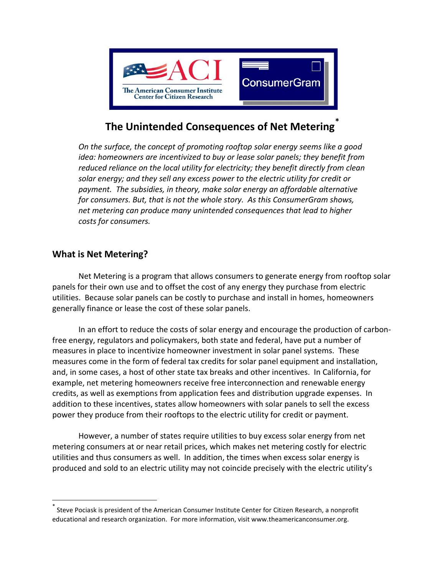

# **The Unintended Consequences of Net Metering[\\*](#page-0-0)**

*On the surface, the concept of promoting rooftop solar energy seems like a good idea: homeowners are incentivized to buy or lease solar panels; they benefit from reduced reliance on the local utility for electricity; they benefit directly from clean solar energy; and they sell any excess power to the electric utility for credit or payment. The subsidies, in theory, make solar energy an affordable alternative for consumers. But, that is not the whole story. As this ConsumerGram shows, net metering can produce many unintended consequences that lead to higher costs for consumers.* 

### **What is Net Metering?**

Net Metering is a program that allows consumers to generate energy from rooftop solar panels for their own use and to offset the cost of any energy they purchase from electric utilities. Because solar panels can be costly to purchase and install in homes, homeowners generally finance or lease the cost of these solar panels.

In an effort to reduce the costs of solar energy and encourage the production of carbonfree energy, regulators and policymakers, both state and federal, have put a number of measures in place to incentivize homeowner investment in solar panel systems. These measures come in the form of federal tax credits for solar panel equipment and installation, and, in some cases, a host of other state tax breaks and other incentives. In California, for example, net metering homeowners receive free interconnection and renewable energy credits, as well as exemptions from application fees and distribution upgrade expenses. In addition to these incentives, states allow homeowners with solar panels to sell the excess power they produce from their rooftops to the electric utility for credit or payment.

However, a number of states require utilities to buy excess solar energy from net metering consumers at or near retail prices, which makes net metering costly for electric utilities and thus consumers as well. In addition, the times when excess solar energy is produced and sold to an electric utility may not coincide precisely with the electric utility's

<span id="page-0-0"></span>Steve Pociask is president of the American Consumer Institute Center for Citizen Research, a nonprofit educational and research organization. For more information, visit [www.theamericanconsumer.org.](http://www.theamericanconsumer.org/)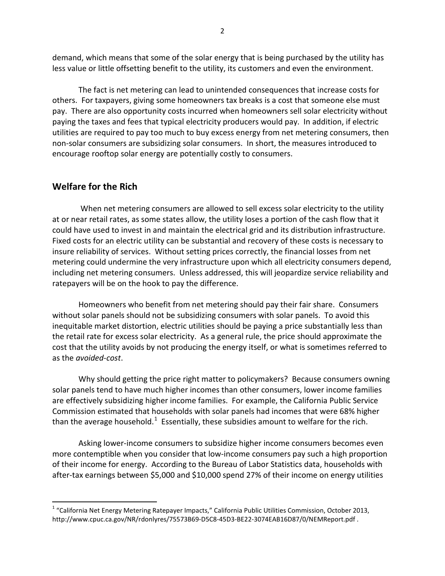demand, which means that some of the solar energy that is being purchased by the utility has less value or little offsetting benefit to the utility, its customers and even the environment.

The fact is net metering can lead to unintended consequences that increase costs for others. For taxpayers, giving some homeowners tax breaks is a cost that someone else must pay. There are also opportunity costs incurred when homeowners sell solar electricity without paying the taxes and fees that typical electricity producers would pay. In addition, if electric utilities are required to pay too much to buy excess energy from net metering consumers, then non-solar consumers are subsidizing solar consumers. In short, the measures introduced to encourage rooftop solar energy are potentially costly to consumers.

#### **Welfare for the Rich**

When net metering consumers are allowed to sell excess solar electricity to the utility at or near retail rates, as some states allow, the utility loses a portion of the cash flow that it could have used to invest in and maintain the electrical grid and its distribution infrastructure. Fixed costs for an electric utility can be substantial and recovery of these costs is necessary to insure reliability of services. Without setting prices correctly, the financial losses from net metering could undermine the very infrastructure upon which all electricity consumers depend, including net metering consumers. Unless addressed, this will jeopardize service reliability and ratepayers will be on the hook to pay the difference.

Homeowners who benefit from net metering should pay their fair share. Consumers without solar panels should not be subsidizing consumers with solar panels. To avoid this inequitable market distortion, electric utilities should be paying a price substantially less than the retail rate for excess solar electricity. As a general rule, the price should approximate the cost that the utility avoids by not producing the energy itself, or what is sometimes referred to as the *avoided-cost*.

Why should getting the price right matter to policymakers? Because consumers owning solar panels tend to have much higher incomes than other consumers, lower income families are effectively subsidizing higher income families. For example, the California Public Service Commission estimated that households with solar panels had incomes that were 68% higher than the average household.<sup>[1](#page-1-0)</sup> Essentially, these subsidies amount to welfare for the rich.

Asking lower-income consumers to subsidize higher income consumers becomes even more contemptible when you consider that low-income consumers pay such a high proportion of their income for energy. According to the Bureau of Labor Statistics data, households with after-tax earnings between \$5,000 and \$10,000 spend 27% of their income on energy utilities

<span id="page-1-0"></span><sup>&</sup>lt;sup>1</sup> "California Net Energy Metering Ratepayer Impacts," California Public Utilities Commission, October 2013, <http://www.cpuc.ca.gov/NR/rdonlyres/75573B69-D5C8-45D3-BE22-3074EAB16D87/0/NEMReport.pdf> .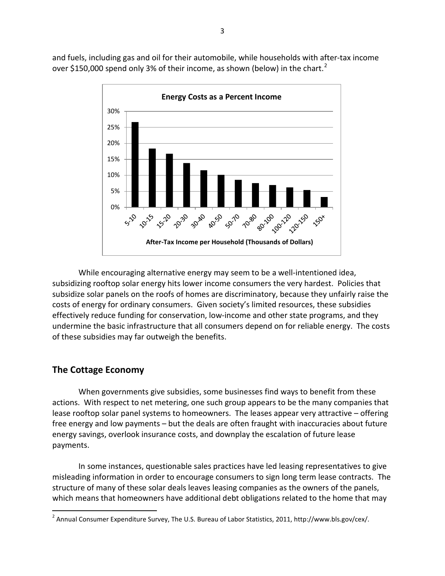and fuels, including gas and oil for their automobile, while households with after-tax income over \$150,000 spend only 3% of their income, as shown (below) in the chart.<sup>[2](#page-2-0)</sup>



While encouraging alternative energy may seem to be a well-intentioned idea, subsidizing rooftop solar energy hits lower income consumers the very hardest. Policies that subsidize solar panels on the roofs of homes are discriminatory, because they unfairly raise the costs of energy for ordinary consumers. Given society's limited resources, these subsidies effectively reduce funding for conservation, low-income and other state programs, and they undermine the basic infrastructure that all consumers depend on for reliable energy. The costs of these subsidies may far outweigh the benefits.

## **The Cottage Economy**

When governments give subsidies, some businesses find ways to benefit from these actions. With respect to net metering, one such group appears to be the many companies that lease rooftop solar panel systems to homeowners. The leases appear very attractive – offering free energy and low payments – but the deals are often fraught with inaccuracies about future energy savings, overlook insurance costs, and downplay the escalation of future lease payments.

In some instances, questionable sales practices have led leasing representatives to give misleading information in order to encourage consumers to sign long term lease contracts. The structure of many of these solar deals leaves leasing companies as the owners of the panels, which means that homeowners have additional debt obligations related to the home that may

<span id="page-2-0"></span><sup>&</sup>lt;sup>2</sup> Annual Consumer Expenditure Survey, The U.S. Bureau of Labor Statistics, 2011[, http://www.bls.gov/cex/.](http://www.bls.gov/cex/)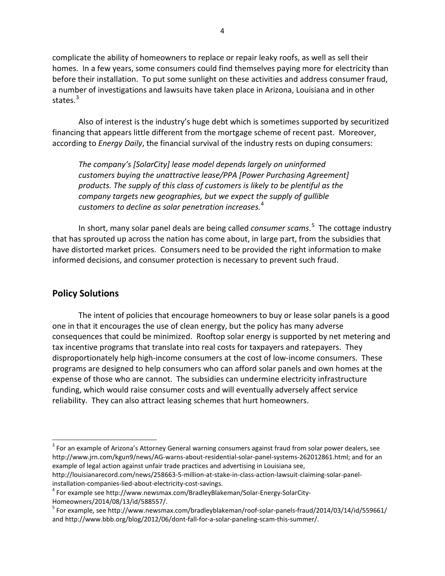complicate the ability of homeowners to replace or repair leaky roofs, as well as sell their homes. In a few years, some consumers could find themselves paying more for electricity than before their installation. To put some sunlight on these activities and address consumer fraud, a number of investigations and lawsuits have taken place in Arizona, Louisiana and in other states. $3$ 

Also of interest is the industry's huge debt which is sometimes supported by securitized financing that appears little different from the mortgage scheme of recent past. Moreover, according to *Energy Daily*, the financial survival of the industry rests on duping consumers:

*The company's [SolarCity] lease model depends largely on uninformed customers buying the unattractive lease/PPA [Power Purchasing Agreement] products. The supply of this class of customers is likely to be plentiful as the company targets new geographies, but we expect the supply of gullible customers to decline as solar penetration increases.*[4](#page-3-1)

In short, many solar panel deals are being called *consumer scams*. [5](#page-3-2) The cottage industry that has sprouted up across the nation has come about, in large part, from the subsidies that have distorted market prices. Consumers need to be provided the right information to make informed decisions, and consumer protection is necessary to prevent such fraud.

#### **Policy Solutions**

The intent of policies that encourage homeowners to buy or lease solar panels is a good one in that it encourages the use of clean energy, but the policy has many adverse consequences that could be minimized. Rooftop solar energy is supported by net metering and tax incentive programs that translate into real costs for taxpayers and ratepayers. They disproportionately help high-income consumers at the cost of low-income consumers. These programs are designed to help consumers who can afford solar panels and own homes at the expense of those who are cannot. The subsidies can undermine electricity infrastructure funding, which would raise consumer costs and will eventually adversely affect service reliability. They can also attract leasing schemes that hurt homeowners.

<span id="page-3-0"></span> $3$  For an example of Arizona's Attorney General warning consumers against fraud from solar power dealers, see [http://www.jrn.com/kgun9/news/AG-warns-about-residential-solar-panel-systems-262012861.html;](http://www.jrn.com/kgun9/news/AG-warns-about-residential-solar-panel-systems-262012861.html) and for an example of legal action against unfair trade practices and advertising in Louisiana see,

[http://louisianarecord.com/news/258663-5-million-at-stake-in-class-action-lawsuit-claiming-solar-panel](http://louisianarecord.com/news/258663-5-million-at-stake-in-class-action-lawsuit-claiming-solar-panel-installation-companies-lied-about-electricity-cost-savings)installation-companies-lied-about-electricity-cost-savings.<br><sup>4</sup> For example see [http://www.newsmax.com/BradleyBlakeman/Solar-Energy-SolarCity-](http://www.newsmax.com/BradleyBlakeman/Solar-Energy-SolarCity-Homeowners/2014/08/13/id/588557/)

<span id="page-3-1"></span>

<span id="page-3-2"></span>[Homeowners/2014/08/13/id/588557/.](http://www.newsmax.com/BradleyBlakeman/Solar-Energy-SolarCity-Homeowners/2014/08/13/id/588557/)<br><sup>5</sup> For example, se[e http://www.newsmax.com/bradleyblakeman/roof-solar-panels-fraud/2014/03/14/id/559661/](http://www.newsmax.com/bradleyblakeman/roof-solar-panels-fraud/2014/03/14/id/559661/) an[d http://www.bbb.org/blog/2012/06/dont-fall-for-a-solar-paneling-scam-this-summer/.](http://www.bbb.org/blog/2012/06/dont-fall-for-a-solar-paneling-scam-this-summer/)